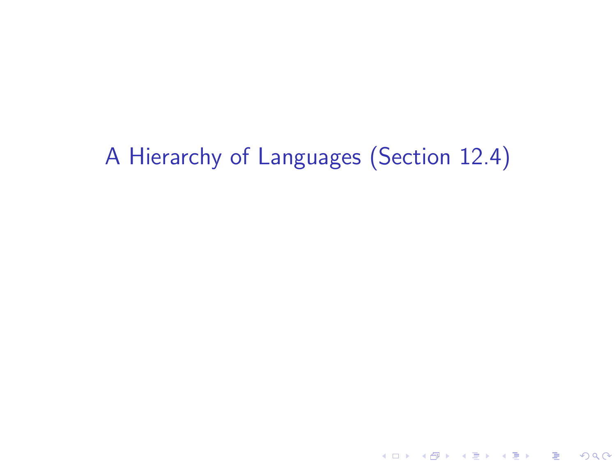# A Hierarchy of Languages (Section 12.4)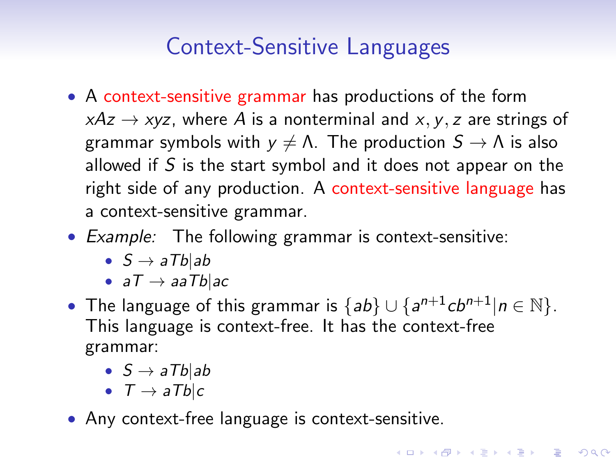# Context-Sensitive Languages

- A context-sensitive grammar has productions of the form  $xAz \rightarrow xyz$ , where A is a nonterminal and x, y, z are strings of grammar symbols with  $y \neq \Lambda$ . The production  $S \to \Lambda$  is also allowed if S is the start symbol and it does not appear on the right side of any production. A context-sensitive language has a context-sensitive grammar.
- Example: The following grammar is context-sensitive:
	- $S \rightarrow aTb$ |ab
	- $aT \rightarrow aaTblac$
- The language of this grammar is  ${ab} \cup {a^{n+1}cb^{n+1}|n \in \mathbb{N}}$ . This language is context-free. It has the context-free grammar:

**KORKAR KERKER E VOOR** 

- $S \rightarrow aTb$ |ab
- $T \rightarrow aTb$ c
- Any context-free language is context-sensitive.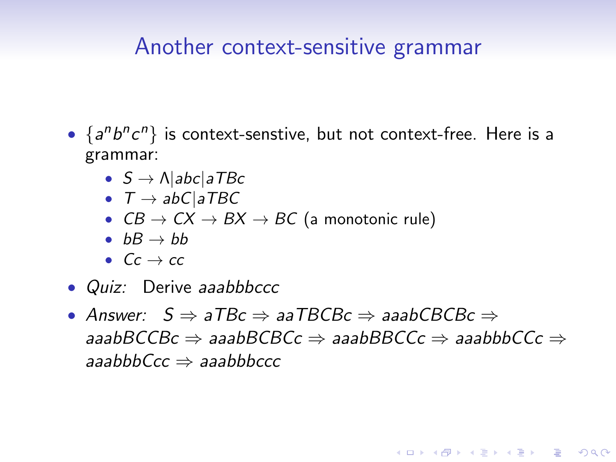#### Another context-sensitive grammar

- $\{a^n b^n c^n\}$  is context-senstive, but not context-free. Here is a grammar:
	- $S \rightarrow \Lambda$ |abc|aTBc
	- $T \rightarrow abClaTBC$
	- $CB \rightarrow CX \rightarrow BX \rightarrow BC$  (a monotonic rule)
	- $bB \rightarrow bb$
	- $Cc \rightarrow cc$
- *Quiz:* Derive *aaabbbccc*
- Answer:  $S \Rightarrow aTBC \Rightarrow aaTBCBC \Rightarrow aaabCBCBC$ aaabBCCBc ⇒ aaabBCBCc ⇒ aaabBBCCc ⇒ aaabbbCCc ⇒ aaabbb $Ccc \Rightarrow$  aaabbbccc

**KORK ERKER ADE YOUR**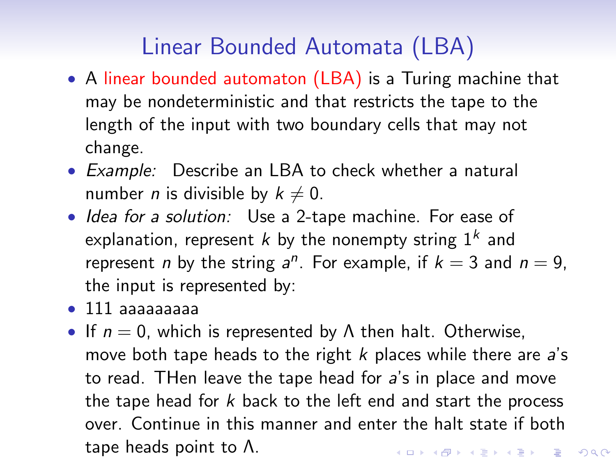## Linear Bounded Automata (LBA)

- A linear bounded automaton (LBA) is a Turing machine that may be nondeterministic and that restricts the tape to the length of the input with two boundary cells that may not change.
- Example: Describe an LBA to check whether a natural number *n* is divisible by  $k \neq 0$ .
- Idea for a solution: Use a 2-tape machine. For ease of explanation, represent  $k$  by the nonempty string  $1^k$  and represent *n* by the string  $a^n$ . For example, if  $k = 3$  and  $n = 9$ , the input is represented by:
- 111 aaaaaaaaa
- If  $n = 0$ , which is represented by  $\Lambda$  then halt. Otherwise, move both tape heads to the right  $k$  places while there are  $a$ 's to read. THen leave the tape head for a's in place and move the tape head for  $k$  back to the left end and start the process over. Continue in this manner and enter the halt state if both tape heads point to Λ.**KORKAR KERKER E VOOR**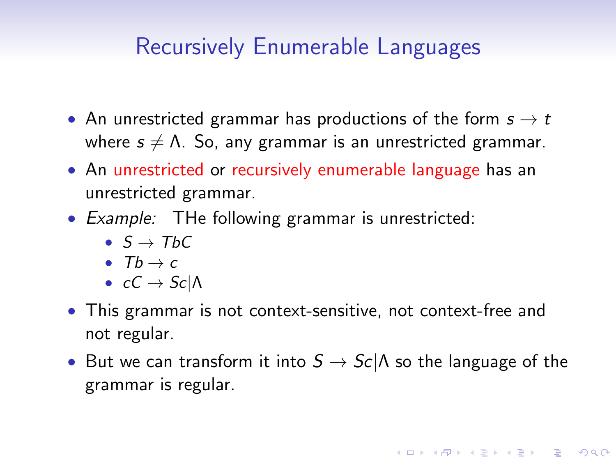### Recursively Enumerable Languages

- An unrestricted grammar has productions of the form  $s \to t$ where  $s \neq \Lambda$ . So, any grammar is an unrestricted grammar.
- An unrestricted or recursively enumerable language has an unrestricted grammar.
- Example: THe following grammar is unrestricted:
	- $S \rightarrow TbC$
	- T $b \rightarrow c$
	- $cC \rightarrow Sc/\Lambda$
- This grammar is not context-sensitive, not context-free and not regular.
- But we can transform it into  $S \to Sc/\Lambda$  so the language of the grammar is regular.

**KORKAR KERKER E VOOR**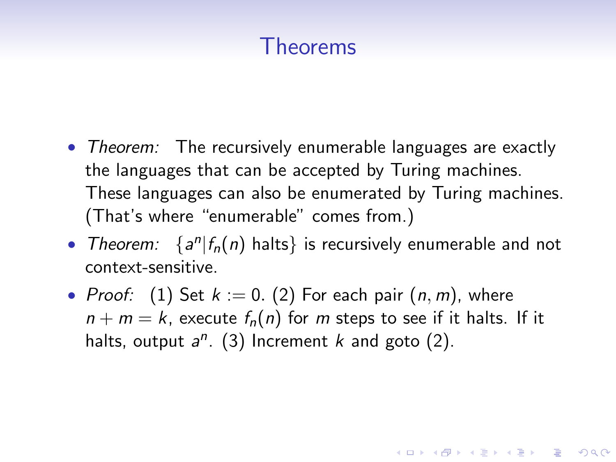### Theorems

- Theorem: The recursively enumerable languages are exactly the languages that can be accepted by Turing machines. These languages can also be enumerated by Turing machines. (That's where "enumerable" comes from.)
- Theorem:  $\{a^n | f_n(n) \text{ halts}\}$  is recursively enumerable and not context-sensitive.
- Proof: (1) Set  $k := 0$ . (2) For each pair  $(n, m)$ , where  $n + m = k$ , execute  $f_n(n)$  for m steps to see if it halts. If it halts, output  $a^n$ . (3) Increment  $k$  and goto (2).

**KORKAR KERKER EL VOLO**